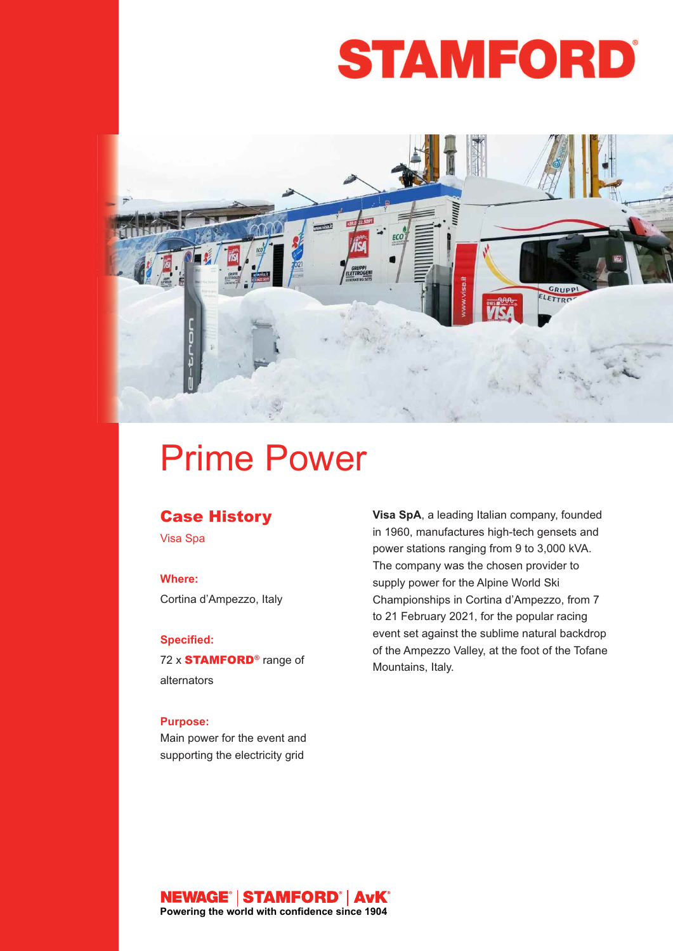# **STAMFORD**



## Prime Power

#### **Case History**

Visa Spa

#### **Where:**

Cortina d'Ampezzo, Italy

#### **Specified:**

72 x **STAMFORD®** range of alternators

#### **Purpose:**

Main power for the event and supporting the electricity grid

**Visa SpA**, a leading Italian company, founded in 1960, manufactures high-tech gensets and power stations ranging from 9 to 3,000 kVA. The company was the chosen provider to supply power for the Alpine World Ski Championships in Cortina d'Ampezzo, from 7 to 21 February 2021, for the popular racing event set against the sublime natural backdrop of the Ampezzo Valley, at the foot of the Tofane Mountains, Italy.

### **NEWAGE<sup>°</sup> | STAMFORD<sup>°</sup> | AvK<sup>°</sup><br>Powering the world with confidence since 1904**